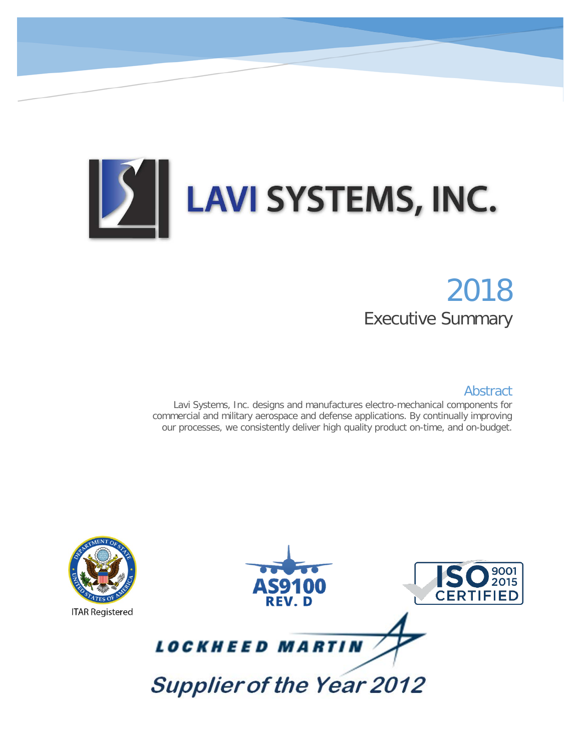# **LAVI SYSTEMS, INC.** ) ||

# 2018 Executive Summary

#### Abstract

Lavi Systems, Inc. designs and manufactures electro-mechanical components for commercial and military aerospace and defense applications. By continually improving our processes, we consistently deliver high quality product on-time, and on-budget.

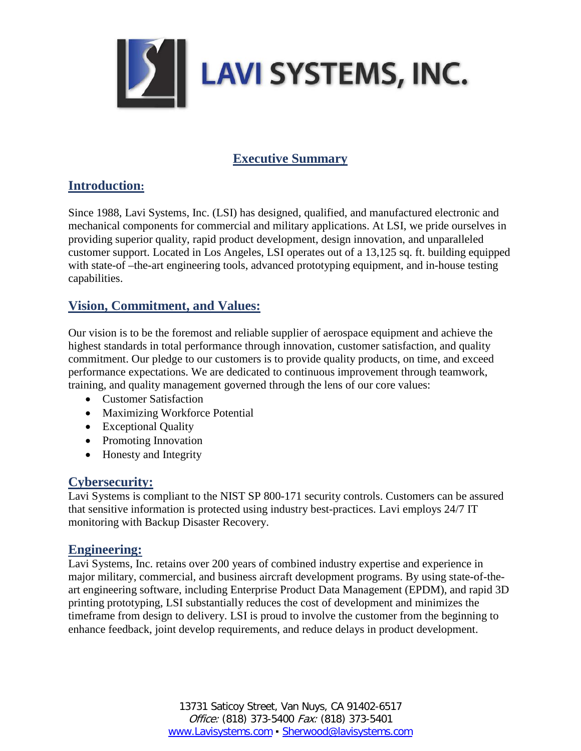

# **Executive Summary**

#### **Introduction:**

Since 1988, Lavi Systems, Inc. (LSI) has designed, qualified, and manufactured electronic and mechanical components for commercial and military applications. At LSI, we pride ourselves in providing superior quality, rapid product development, design innovation, and unparalleled customer support. Located in Los Angeles, LSI operates out of a 13,125 sq. ft. building equipped with state-of –the-art engineering tools, advanced prototyping equipment, and in-house testing capabilities.

# **Vision, Commitment, and Values:**

Our vision is to be the foremost and reliable supplier of aerospace equipment and achieve the highest standards in total performance through innovation, customer satisfaction, and quality commitment. Our pledge to our customers is to provide quality products, on time, and exceed performance expectations. We are dedicated to continuous improvement through teamwork, training, and quality management governed through the lens of our core values:

- Customer Satisfaction
- Maximizing Workforce Potential
- Exceptional Quality
- Promoting Innovation
- Honesty and Integrity

# **Cybersecurity:**

Lavi Systems is compliant to the NIST SP 800-171 security controls. Customers can be assured that sensitive information is protected using industry best-practices. Lavi employs 24/7 IT monitoring with Backup Disaster Recovery.

#### **Engineering:**

Lavi Systems, Inc. retains over 200 years of combined industry expertise and experience in major military, commercial, and business aircraft development programs. By using state-of-theart engineering software, including Enterprise Product Data Management (EPDM), and rapid 3D printing prototyping, LSI substantially reduces the cost of development and minimizes the timeframe from design to delivery. LSI is proud to involve the customer from the beginning to enhance feedback, joint develop requirements, and reduce delays in product development.